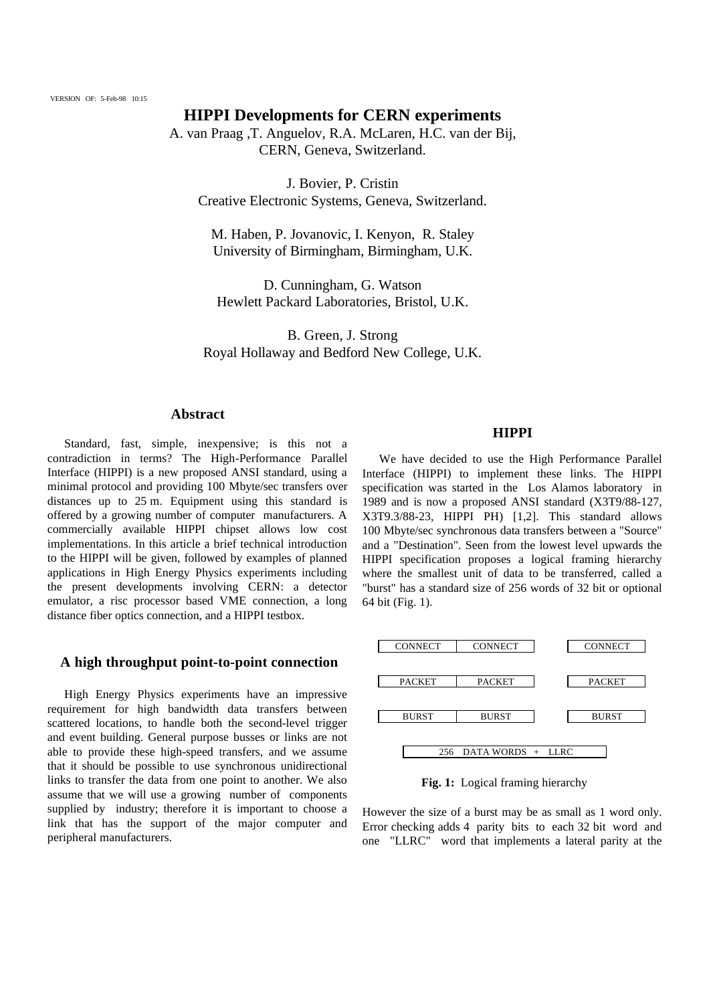# **HIPPI Developments for CERN experiments**

A. van Praag ,T. Anguelov, R.A. McLaren, H.C. van der Bij, CERN, Geneva, Switzerland.

J. Bovier, P. Cristin Creative Electronic Systems, Geneva, Switzerland.

M. Haben, P. Jovanovic, I. Kenyon, R. Staley University of Birmingham, Birmingham, U.K.

D. Cunningham, G. Watson Hewlett Packard Laboratories, Bristol, U.K.

B. Green, J. Strong Royal Hollaway and Bedford New College, U.K.

## **Abstract**

Standard, fast, simple, inexpensive; is this not a contradiction in terms? The High-Performance Parallel Interface (HIPPI) is a new proposed ANSI standard, using a minimal protocol and providing 100 Mbyte/sec transfers over distances up to 25 m. Equipment using this standard is offered by a growing number of computer manufacturers. A commercially available HIPPI chipset allows low cost implementations. In this article a brief technical introduction to the HIPPI will be given, followed by examples of planned applications in High Energy Physics experiments including the present developments involving CERN: a detector emulator, a risc processor based VME connection, a long distance fiber optics connection, and a HIPPI testbox.

# **A high throughput point-to-point connection**

High Energy Physics experiments have an impressive requirement for high bandwidth data transfers between scattered locations, to handle both the second-level trigger and event building. General purpose busses or links are not able to provide these high-speed transfers, and we assume that it should be possible to use synchronous unidirectional links to transfer the data from one point to another. We also assume that we will use a growing number of components supplied by industry; therefore it is important to choose a link that has the support of the major computer and peripheral manufacturers.

## **HIPPI**

We have decided to use the High Performance Parallel Interface (HIPPI) to implement these links. The HIPPI specification was started in the Los Alamos laboratory in 1989 and is now a proposed ANSI standard (X3T9/88-127, X3T9.3/88-23, HIPPI PH) [1,2]. This standard allows 100 Mbyte/sec synchronous data transfers between a "Source" and a "Destination". Seen from the lowest level upwards the HIPPI specification proposes a logical framing hierarchy where the smallest unit of data to be transferred, called a "burst" has a standard size of 256 words of 32 bit or optional 64 bit (Fig. 1).



**Fig. 1:** Logical framing hierarchy

However the size of a burst may be as small as 1 word only. Error checking adds 4 parity bits to each 32 bit word and one "LLRC" word that implements a lateral parity at the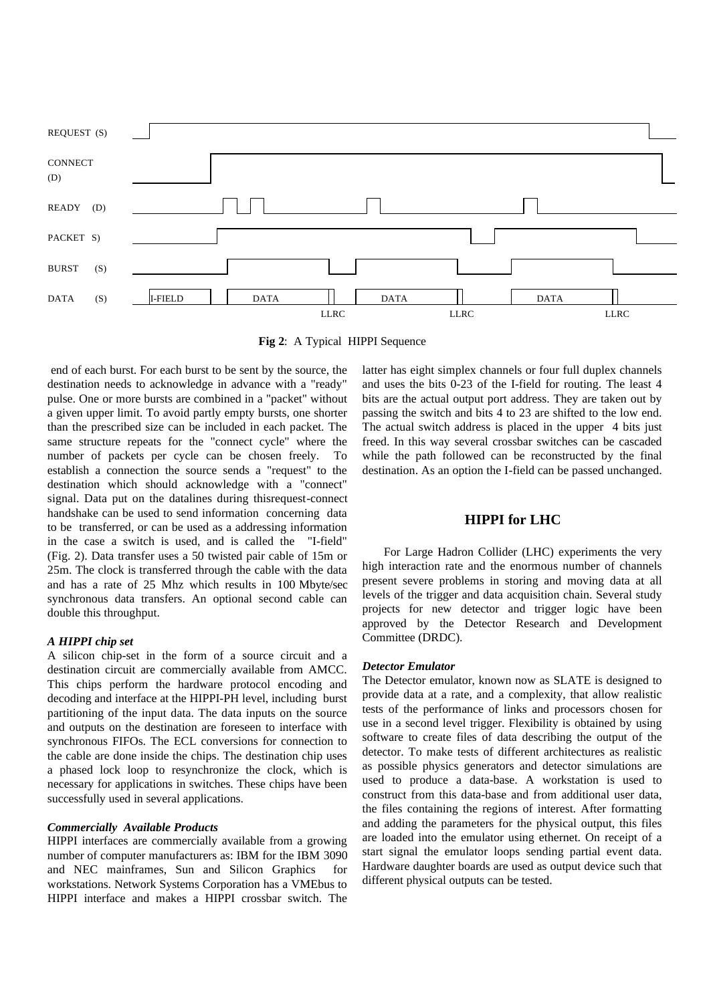

**Fig 2**: A Typical HIPPI Sequence

 end of each burst. For each burst to be sent by the source, the destination needs to acknowledge in advance with a "ready" pulse. One or more bursts are combined in a "packet" without a given upper limit. To avoid partly empty bursts, one shorter than the prescribed size can be included in each packet. The same structure repeats for the "connect cycle" where the number of packets per cycle can be chosen freely. To establish a connection the source sends a "request" to the destination which should acknowledge with a "connect" signal. Data put on the datalines during thisrequest-connect handshake can be used to send information concerning data to be transferred, or can be used as a addressing information in the case a switch is used, and is called the "I-field" (Fig. 2). Data transfer uses a 50 twisted pair cable of 15m or 25m. The clock is transferred through the cable with the data and has a rate of 25 Mhz which results in 100 Mbyte/sec synchronous data transfers. An optional second cable can double this throughput.

## *A HIPPI chip set*

A silicon chip-set in the form of a source circuit and a destination circuit are commercially available from AMCC. This chips perform the hardware protocol encoding and decoding and interface at the HIPPI-PH level, including burst partitioning of the input data. The data inputs on the source and outputs on the destination are foreseen to interface with synchronous FIFOs. The ECL conversions for connection to the cable are done inside the chips. The destination chip uses a phased lock loop to resynchronize the clock, which is necessary for applications in switches. These chips have been successfully used in several applications.

### *Commercially Available Products*

HIPPI interfaces are commercially available from a growing number of computer manufacturers as: IBM for the IBM 3090 and NEC mainframes, Sun and Silicon Graphics for workstations. Network Systems Corporation has a VMEbus to HIPPI interface and makes a HIPPI crossbar switch. The

latter has eight simplex channels or four full duplex channels and uses the bits 0-23 of the I-field for routing. The least 4 bits are the actual output port address. They are taken out by passing the switch and bits 4 to 23 are shifted to the low end. The actual switch address is placed in the upper 4 bits just freed. In this way several crossbar switches can be cascaded while the path followed can be reconstructed by the final destination. As an option the I-field can be passed unchanged.

## **HIPPI for LHC**

For Large Hadron Collider (LHC) experiments the very high interaction rate and the enormous number of channels present severe problems in storing and moving data at all levels of the trigger and data acquisition chain. Several study projects for new detector and trigger logic have been approved by the Detector Research and Development Committee (DRDC).

#### *Detector Emulator*

The Detector emulator, known now as SLATE is designed to provide data at a rate, and a complexity, that allow realistic tests of the performance of links and processors chosen for use in a second level trigger. Flexibility is obtained by using software to create files of data describing the output of the detector. To make tests of different architectures as realistic as possible physics generators and detector simulations are used to produce a data-base. A workstation is used to construct from this data-base and from additional user data, the files containing the regions of interest. After formatting and adding the parameters for the physical output, this files are loaded into the emulator using ethernet. On receipt of a start signal the emulator loops sending partial event data. Hardware daughter boards are used as output device such that different physical outputs can be tested.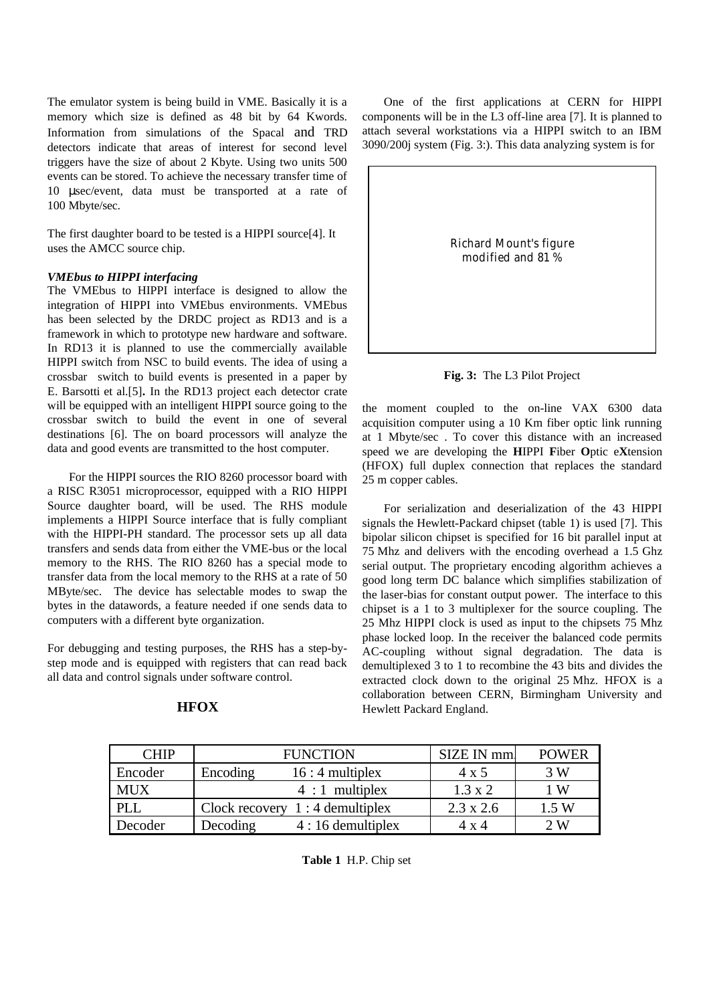The emulator system is being build in VME. Basically it is a memory which size is defined as 48 bit by 64 Kwords. Information from simulations of the Spacal and TRD detectors indicate that areas of interest for second level triggers have the size of about 2 Kbyte. Using two units 500 events can be stored. To achieve the necessary transfer time of 10 μsec/event, data must be transported at a rate of 100 Mbyte/sec.

The first daughter board to be tested is a HIPPI source[4]. It uses the AMCC source chip.

## *VMEbus to HIPPI interfacing*

The VMEbus to HIPPI interface is designed to allow the integration of HIPPI into VMEbus environments. VMEbus has been selected by the DRDC project as RD13 and is a framework in which to prototype new hardware and software. In RD13 it is planned to use the commercially available HIPPI switch from NSC to build events. The idea of using a crossbar switch to build events is presented in a paper by E. Barsotti et al.[5]**.** In the RD13 project each detector crate will be equipped with an intelligent HIPPI source going to the crossbar switch to build the event in one of several destinations [6]. The on board processors will analyze the data and good events are transmitted to the host computer.

For the HIPPI sources the RIO 8260 processor board with a RISC R3051 microprocessor, equipped with a RIO HIPPI Source daughter board, will be used. The RHS module implements a HIPPI Source interface that is fully compliant with the HIPPI-PH standard. The processor sets up all data transfers and sends data from either the VME-bus or the local memory to the RHS. The RIO 8260 has a special mode to transfer data from the local memory to the RHS at a rate of 50 MByte/sec. The device has selectable modes to swap the bytes in the datawords, a feature needed if one sends data to computers with a different byte organization.

For debugging and testing purposes, the RHS has a step-bystep mode and is equipped with registers that can read back all data and control signals under software control.

| <b>CHIP</b> | <b>FUNCTION</b>                  | SIZE IN mm       | <b>POWER</b> |
|-------------|----------------------------------|------------------|--------------|
| Encoder     | Encoding<br>$16:4$ multiplex     | $4 \times 5$     | 3 W          |
| <b>MUX</b>  | $4:1$ multiplex                  | $1.3 \times 2$   | 1 W          |
| PLL         | Clock recovery $1:4$ demultiplex | $2.3 \times 2.6$ | 1.5 W        |
| Decoder     | Decoding<br>$4:16$ demultiplex   | 4 x 4            | 2W           |

# **HFOX**

One of the first applications at CERN for HIPPI components will be in the L3 off-line area [7]. It is planned to attach several workstations via a HIPPI switch to an IBM 3090/200j system (Fig. 3:). This data analyzing system is for



**Fig. 3:** The L3 Pilot Project

the moment coupled to the on-line VAX 6300 data acquisition computer using a 10 Km fiber optic link running at 1 Mbyte/sec . To cover this distance with an increased speed we are developing the **H**IPPI **F**iber **O**ptic e**X**tension (HFOX) full duplex connection that replaces the standard 25 m copper cables.

For serialization and deserialization of the 43 HIPPI signals the Hewlett-Packard chipset (table 1) is used [7]. This bipolar silicon chipset is specified for 16 bit parallel input at 75 Mhz and delivers with the encoding overhead a 1.5 Ghz serial output. The proprietary encoding algorithm achieves a good long term DC balance which simplifies stabilization of the laser-bias for constant output power. The interface to this chipset is a 1 to 3 multiplexer for the source coupling. The 25 Mhz HIPPI clock is used as input to the chipsets 75 Mhz phase locked loop. In the receiver the balanced code permits AC-coupling without signal degradation. The data is demultiplexed 3 to 1 to recombine the 43 bits and divides the extracted clock down to the original 25 Mhz. HFOX is a collaboration between CERN, Birmingham University and Hewlett Packard England.

 **Table 1** H.P. Chip set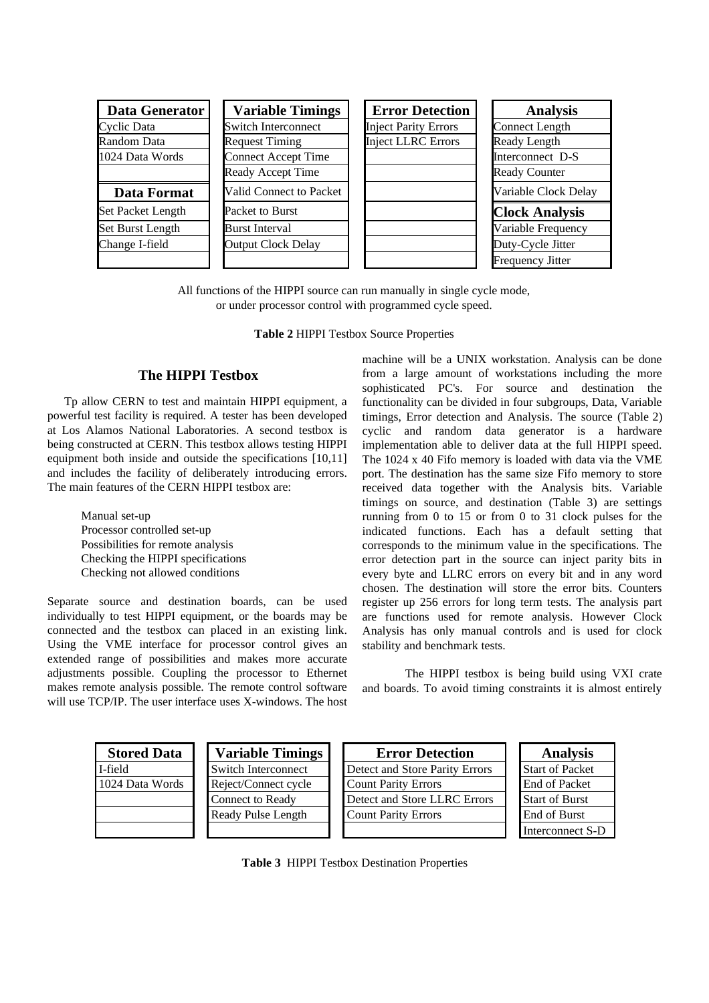| <b>Data Generator</b> | <b>Variable Timings</b>    | <b>Error Detection</b>      | <b>Analysis</b>         |
|-----------------------|----------------------------|-----------------------------|-------------------------|
| Cyclic Data           | <b>Switch Interconnect</b> | <b>Inject Parity Errors</b> | <b>Connect Length</b>   |
| <b>Random Data</b>    | <b>Request Timing</b>      | <b>Inject LLRC Errors</b>   | Ready Length            |
| 1024 Data Words       | <b>Connect Accept Time</b> |                             | Interconnect D-S        |
|                       | Ready Accept Time          |                             | <b>Ready Counter</b>    |
| Data Format           | Valid Connect to Packet    |                             | Variable Clock Delay    |
| Set Packet Length     | Packet to Burst            |                             | <b>Clock Analysis</b>   |
| Set Burst Length      | <b>Burst Interval</b>      |                             | Variable Frequency      |
| Change I-field        | <b>Output Clock Delay</b>  |                             | Duty-Cycle Jitter       |
|                       |                            |                             | <b>Frequency Jitter</b> |

All functions of the HIPPI source can run manually in single cycle mode, or under processor control with programmed cycle speed.

**Table 2** HIPPI Testbox Source Properties

# **The HIPPI Testbox**

Tp allow CERN to test and maintain HIPPI equipment, a powerful test facility is required. A tester has been developed at Los Alamos National Laboratories. A second testbox is being constructed at CERN. This testbox allows testing HIPPI equipment both inside and outside the specifications [10,11] and includes the facility of deliberately introducing errors. The main features of the CERN HIPPI testbox are:

> Manual set-up Processor controlled set-up Possibilities for remote analysis Checking the HIPPI specifications Checking not allowed conditions

Separate source and destination boards, can be used individually to test HIPPI equipment, or the boards may be connected and the testbox can placed in an existing link. Using the VME interface for processor control gives an extended range of possibilities and makes more accurate adjustments possible. Coupling the processor to Ethernet makes remote analysis possible. The remote control software will use TCP/IP. The user interface uses X-windows. The host machine will be a UNIX workstation. Analysis can be done from a large amount of workstations including the more sophisticated PC's. For source and destination the functionality can be divided in four subgroups, Data, Variable timings, Error detection and Analysis. The source (Table 2) cyclic and random data generator is a hardware implementation able to deliver data at the full HIPPI speed. The 1024 x 40 Fifo memory is loaded with data via the VME port. The destination has the same size Fifo memory to store received data together with the Analysis bits. Variable timings on source, and destination (Table 3) are settings running from 0 to 15 or from 0 to 31 clock pulses for the indicated functions. Each has a default setting that corresponds to the minimum value in the specifications. The error detection part in the source can inject parity bits in every byte and LLRC errors on every bit and in any word chosen. The destination will store the error bits. Counters register up 256 errors for long term tests. The analysis part are functions used for remote analysis. However Clock Analysis has only manual controls and is used for clock stability and benchmark tests.

The HIPPI testbox is being build using VXI crate and boards. To avoid timing constraints it is almost entirely

| <b>Stored Data</b> | <b>Variable Timings</b> | <b>Error Detection</b>         | <b>Analysis</b>        |
|--------------------|-------------------------|--------------------------------|------------------------|
| I-field            | Switch Interconnect     | Detect and Store Parity Errors | <b>Start of Packet</b> |
| 1024 Data Words    | Reject/Connect cycle    | <b>Count Parity Errors</b>     | End of Packet          |
|                    | <b>Connect to Ready</b> | Detect and Store LLRC Errors   | <b>Start of Burst</b>  |
|                    | Ready Pulse Length      | <b>Count Parity Errors</b>     | End of Burst           |
|                    |                         |                                | Interconnect S-D       |

**Table 3** HIPPI Testbox Destination Properties